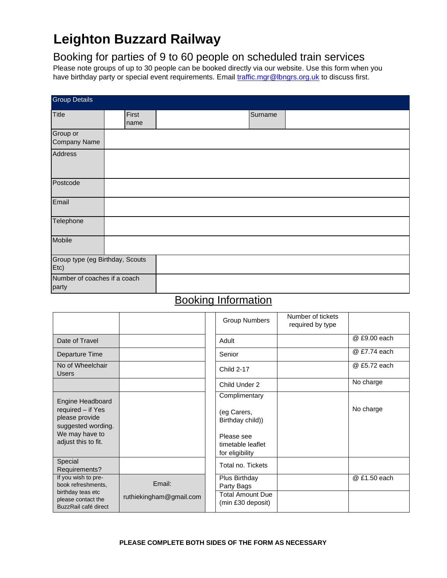# **Leighton Buzzard Railway**

## Booking for parties of 9 to 60 people on scheduled train services

Please note groups of up to 30 people can be booked directly via our website. Use this form when you have birthday party or special event requirements. Email [traffic.mgr@lbngrs.org.uk](mailto:traffic.mgr@lbngrs.org.uk) to discuss first.

| <b>Group Details</b>                    |               |  |         |  |  |  |
|-----------------------------------------|---------------|--|---------|--|--|--|
| <b>Title</b>                            | First<br>name |  | Surname |  |  |  |
| Group or<br><b>Company Name</b>         |               |  |         |  |  |  |
| <b>Address</b>                          |               |  |         |  |  |  |
| Postcode                                |               |  |         |  |  |  |
| Email                                   |               |  |         |  |  |  |
| Telephone                               |               |  |         |  |  |  |
| Mobile                                  |               |  |         |  |  |  |
| Group type (eg Birthday, Scouts<br>Etc) |               |  |         |  |  |  |
| Number of coaches if a coach<br>party   |               |  |         |  |  |  |

# Booking Information

|                                                                 |                         | <b>Group Numbers</b>                               | Number of tickets<br>required by type |              |
|-----------------------------------------------------------------|-------------------------|----------------------------------------------------|---------------------------------------|--------------|
| Date of Travel                                                  |                         | Adult                                              |                                       | @ £9.00 each |
| Departure Time                                                  |                         | Senior                                             |                                       | @ £7.74 each |
| No of Wheelchair<br><b>Users</b>                                |                         | <b>Child 2-17</b>                                  |                                       | @ £5.72 each |
|                                                                 |                         | Child Under 2                                      |                                       | No charge    |
| Engine Headboard                                                |                         | Complimentary                                      |                                       |              |
| required – if Yes<br>please provide<br>suggested wording.       |                         | (eg Carers,<br>Birthday child))                    |                                       | No charge    |
| We may have to<br>adjust this to fit.                           |                         | Please see<br>timetable leaflet<br>for eligibility |                                       |              |
| Special<br>Requirements?                                        |                         | Total no. Tickets                                  |                                       |              |
| If you wish to pre-<br>book refreshments,                       | Email:                  | Plus Birthday<br>Party Bags                        |                                       | @ £1.50 each |
| birthday teas etc<br>please contact the<br>BuzzRail café direct | ruthiekingham@gmail.com | <b>Total Amount Due</b><br>(min £30 deposit)       |                                       |              |